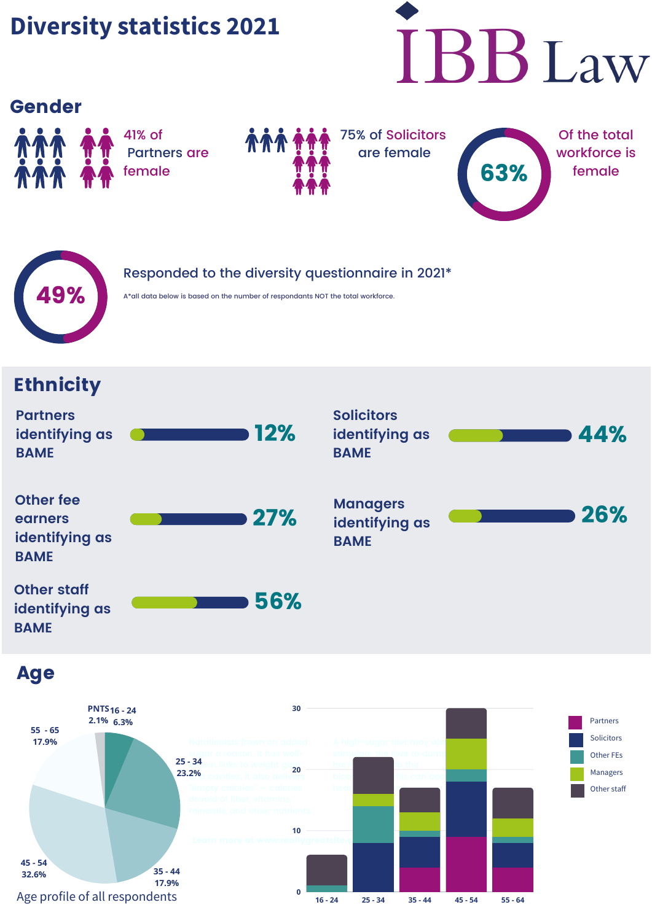# **Diversity statistics 2021**



#### Gender



41% of Partners are female



75% of Solicitors are female





Responded to the diversity questionnaire in 2021\*

# **Ethnicity**

| <b>Partners</b><br>identifying as<br><b>BAME</b>             | <b>12%</b> | <b>Solicitors</b><br>identifying as<br><b>BAME</b> | 44% |
|--------------------------------------------------------------|------------|----------------------------------------------------|-----|
| <b>Other fee</b><br>earners<br>identifying as<br><b>BAME</b> | 27%        | <b>Managers</b><br>identifying as<br><b>BAME</b>   | 26% |
| <b>Other staff</b><br>identifying as<br><b>BAME</b>          | 56%        |                                                    |     |